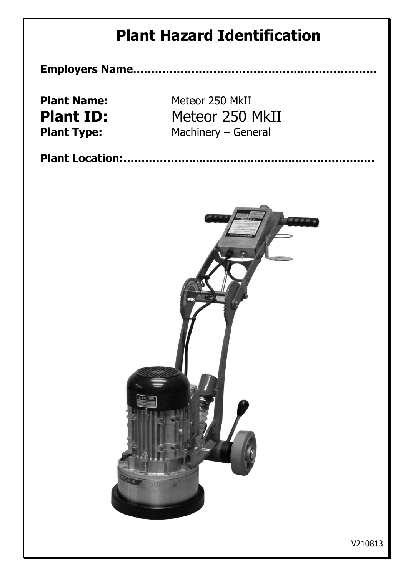**Employers Name………………………………………..………………..**

**Plant Name:** Meteor 250 MkII **Plant ID:** Meteor 250 MkII **Plant Type:** Machinery – General

**Plant Location:………………................................……………..….**

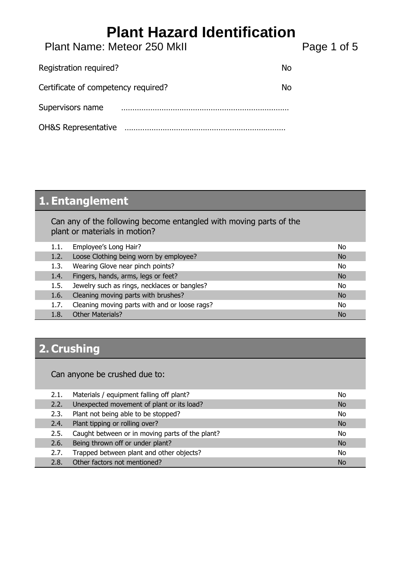Plant Name: Meteor 250 MkII Plant Page 1 of 5

| Registration required?              | N٥ |
|-------------------------------------|----|
| Certificate of competency required? | N٥ |
| Supervisors name                    |    |
| <b>OH&amp;S Representative</b>      |    |

### **1. Entanglement**

Can any of the following become entangled with moving parts of the plant or materials in motion?

| 1.1. | Employee's Long Hair?                         | No        |
|------|-----------------------------------------------|-----------|
| 1.2. | Loose Clothing being worn by employee?        | No        |
| 1.3. | Wearing Glove near pinch points?              | No        |
| 1.4. | Fingers, hands, arms, legs or feet?           | No        |
| 1.5. | Jewelry such as rings, necklaces or bangles?  | No.       |
| 1.6. | Cleaning moving parts with brushes?           | <b>No</b> |
| 1.7. | Cleaning moving parts with and or loose rags? | No.       |
|      | <b>Other Materials?</b>                       | <b>No</b> |

### **2. Crushing**

Can anyone be crushed due to:

| 2.1. | Materials / equipment falling off plant?        | No        |
|------|-------------------------------------------------|-----------|
| 2.2. | Unexpected movement of plant or its load?       | <b>No</b> |
| 2.3. | Plant not being able to be stopped?             | No        |
| 2.4. | Plant tipping or rolling over?                  | No        |
| 2.5. | Caught between or in moving parts of the plant? | No.       |
| 2.6. | Being thrown off or under plant?                | <b>No</b> |
| 2.7. | Trapped between plant and other objects?        | No        |
| 2.8. | Other factors not mentioned?                    | No        |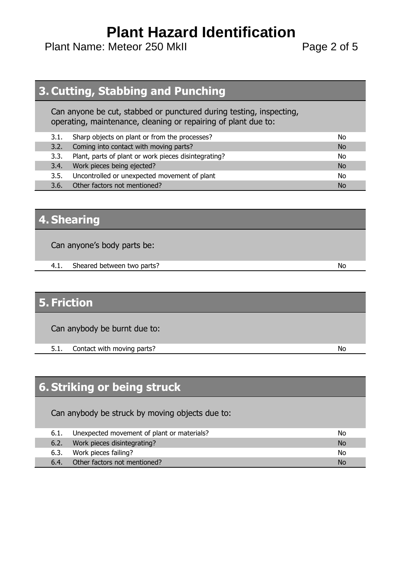Plant Name: Meteor 250 MkII Plant Page 2 of 5

#### **3. Cutting, Stabbing and Punching**

Can anyone be cut, stabbed or punctured during testing, inspecting, operating, maintenance, cleaning or repairing of plant due to:

| 3.1. | Sharp objects on plant or from the processes?        | No |
|------|------------------------------------------------------|----|
| 3.2. | Coming into contact with moving parts?               | No |
| 3.3. | Plant, parts of plant or work pieces disintegrating? | No |
| 3.4. | Work pieces being ejected?                           | No |
| 3.5. | Uncontrolled or unexpected movement of plant         | No |
| 3.6. | Other factors not mentioned?                         | No |

#### **4. Shearing**

Can anyone's body parts be:

4.1. Sheared between two parts? No

#### **5. Friction**

Can anybody be burnt due to:

5.1. Contact with moving parts?

### **6. Striking or being struck**

Can anybody be struck by moving objects due to:

| 6.1. | Unexpected movement of plant or materials? | No        |
|------|--------------------------------------------|-----------|
| 6.2. | Work pieces disintegrating?                | <b>No</b> |
| 6.3. | Work pieces failing?                       | No        |
| 6.4. | Other factors not mentioned?               | No        |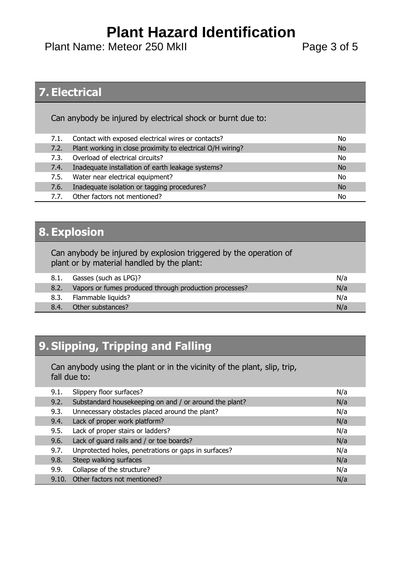Plant Name: Meteor 250 MkII Plant Page 3 of 5

#### **7. Electrical**

Can anybody be injured by electrical shock or burnt due to:

| 7.1. | Contact with exposed electrical wires or contacts?         | No        |
|------|------------------------------------------------------------|-----------|
| 7.2. | Plant working in close proximity to electrical O/H wiring? | No        |
| 7.3. | Overload of electrical circuits?                           | No        |
| 7.4. | Inadequate installation of earth leakage systems?          | <b>No</b> |
| 7.5. | Water near electrical equipment?                           | No        |
| 7.6. | Inadequate isolation or tagging procedures?                | <b>No</b> |
| 7.7. | Other factors not mentioned?                               | No        |

#### **8. Explosion**

Can anybody be injured by explosion triggered by the operation of plant or by material handled by the plant:

| 8.1. | Gasses (such as LPG)?                                  | N/a |
|------|--------------------------------------------------------|-----|
|      | Vapors or fumes produced through production processes? | N/a |
| 8.3. | Flammable liquids?                                     | N/a |
| 8.4. | Other substances?                                      | N/a |
|      |                                                        |     |

### **9. Slipping, Tripping and Falling**

Can anybody using the plant or in the vicinity of the plant, slip, trip, fall due to:

| 9.1.  | Slippery floor surfaces?                               | N/a |
|-------|--------------------------------------------------------|-----|
| 9.2.  | Substandard housekeeping on and / or around the plant? | N/a |
| 9.3.  | Unnecessary obstacles placed around the plant?         | N/a |
| 9.4.  | Lack of proper work platform?                          | N/a |
| 9.5.  | Lack of proper stairs or ladders?                      | N/a |
| 9.6.  | Lack of guard rails and / or toe boards?               | N/a |
| 9.7.  | Unprotected holes, penetrations or gaps in surfaces?   | N/a |
| 9.8.  | Steep walking surfaces                                 | N/a |
| 9.9.  | Collapse of the structure?                             | N/a |
| 9.10. | Other factors not mentioned?                           | N/a |